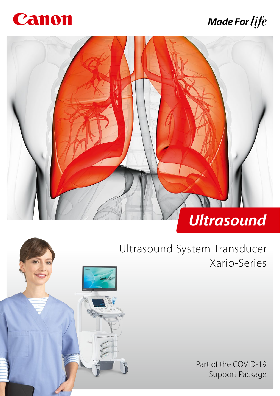

# **Made For life**





Ultrasound System Transducer Xario-Series

> Part of the COVID-19 Support Package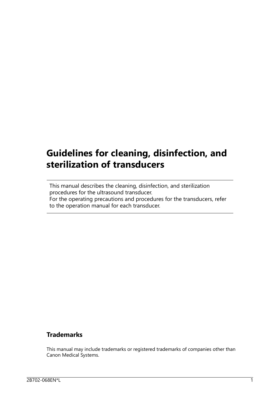## **Guidelines for cleaning, disinfection, and sterilization of transducers**

This manual describes the cleaning, disinfection, and sterilization procedures for the ultrasound transducer. For the operating precautions and procedures for the transducers, refer to the operation manual for each transducer.

### **Trademarks**

This manual may include trademarks or registered trademarks of companies other than Canon Medical Systems.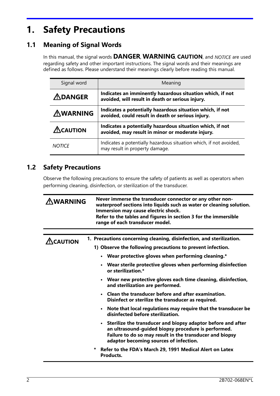## **1. Safety Precautions**

## **1.1 Meaning of Signal Words**

In this manual, the signal words **DANGER, WARNING, CAUTION**, and NOTICE are used regarding safety and other important instructions. The signal words and their meanings are defined as follows. Please understand their meanings clearly before reading this manual.

| Signal word             | Meaning                                                                                                        |
|-------------------------|----------------------------------------------------------------------------------------------------------------|
| $\bigtriangleup$ DANGER | Indicates an imminently hazardous situation which, if not<br>avoided, will result in death or serious injury.  |
| <b>AWARNING</b>         | Indicates a potentially hazardous situation which, if not<br>avoided, could result in death or serious injury. |
| $\triangle$ CAUTION     | Indicates a potentially hazardous situation which, if not<br>avoided, may result in minor or moderate injury.  |
| <b>NOTICE</b>           | Indicates a potentially hazardous situation which, if not avoided,<br>may result in property damage.           |

### **1.2 Safety Precautions**

Observe the following precautions to ensure the safety of patients as well as operators when performing cleaning, disinfection, or sterilization of the transducer.

| Never immerse the transducer connector or any other non-<br><b>WARNING</b><br>waterproof sections into liquids such as water or cleaning solution.<br>Immersion may cause electric shock.<br>Refer to the tables and figures in section 3 for the immersible<br>range of each transducer model. |                                                                                                                                                                                                                             |  |  |  |  |
|-------------------------------------------------------------------------------------------------------------------------------------------------------------------------------------------------------------------------------------------------------------------------------------------------|-----------------------------------------------------------------------------------------------------------------------------------------------------------------------------------------------------------------------------|--|--|--|--|
|                                                                                                                                                                                                                                                                                                 |                                                                                                                                                                                                                             |  |  |  |  |
| $\Lambda$ CAUTION                                                                                                                                                                                                                                                                               | 1. Precautions concerning cleaning, disinfection, and sterilization.                                                                                                                                                        |  |  |  |  |
|                                                                                                                                                                                                                                                                                                 | 1) Observe the following precautions to prevent infection.                                                                                                                                                                  |  |  |  |  |
|                                                                                                                                                                                                                                                                                                 | • Wear protective gloves when performing cleaning.*                                                                                                                                                                         |  |  |  |  |
|                                                                                                                                                                                                                                                                                                 | • Wear sterile protective gloves when performing disinfection<br>or sterilization.*                                                                                                                                         |  |  |  |  |
|                                                                                                                                                                                                                                                                                                 | • Wear new protective gloves each time cleaning, disinfection,<br>and sterilization are performed.                                                                                                                          |  |  |  |  |
|                                                                                                                                                                                                                                                                                                 | • Clean the transducer before and after examination.<br>Disinfect or sterilize the transducer as required.                                                                                                                  |  |  |  |  |
|                                                                                                                                                                                                                                                                                                 | • Note that local regulations may require that the transducer be<br>disinfected before sterilization.                                                                                                                       |  |  |  |  |
|                                                                                                                                                                                                                                                                                                 | • Sterilize the transducer and biopsy adaptor before and after<br>an ultrasound-guided biopsy procedure is performed.<br>Failure to do so may result in the transducer and biopsy<br>adaptor becoming sources of infection. |  |  |  |  |
|                                                                                                                                                                                                                                                                                                 | Refer to the FDA's March 29, 1991 Medical Alert on Latex<br>*<br>Products.                                                                                                                                                  |  |  |  |  |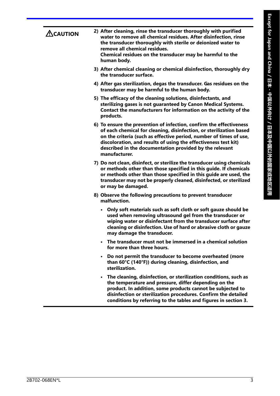| $\triangle$ CAUTION | 2) After cleaning, rinse the transducer thoroughly with purified<br>water to remove all chemical residues. After disinfection, rinse<br>the transducer thoroughly with sterile or deionized water to<br>remove all chemical residues.<br>Chemical residues on the transducer may be harmful to the<br>human body.                                               |
|---------------------|-----------------------------------------------------------------------------------------------------------------------------------------------------------------------------------------------------------------------------------------------------------------------------------------------------------------------------------------------------------------|
|                     | 3) After chemical cleaning or chemical disinfection, thoroughly dry<br>the transducer surface.                                                                                                                                                                                                                                                                  |
|                     | 4) After gas sterilization, degas the transducer. Gas residues on the<br>transducer may be harmful to the human body.                                                                                                                                                                                                                                           |
|                     | 5) The efficacy of the cleaning solutions, disinfectants, and<br>sterilizing gases is not guaranteed by Canon Medical Systems.<br>Contact the manufacturers for information on the activity of the<br>products.                                                                                                                                                 |
|                     | 6) To ensure the prevention of infection, confirm the effectiveness<br>of each chemical for cleaning, disinfection, or sterilization based<br>on the criteria (such as effective period, number of times of use,<br>discoloration, and results of using the effectiveness test kit)<br>described in the documentation provided by the relevant<br>manufacturer. |
|                     | 7) Do not clean, disinfect, or sterilize the transducer using chemicals<br>or methods other than those specified in this guide. If chemicals<br>or methods other than those specified in this guide are used, the<br>transducer may not be properly cleaned, disinfected, or sterilized<br>or may be damaged.                                                   |
|                     | 8) Observe the following precautions to prevent transducer<br>malfunction.                                                                                                                                                                                                                                                                                      |
|                     | Only soft materials such as soft cloth or soft gauze should be<br>used when removing ultrasound gel from the transducer or<br>wiping water or disinfectant from the transducer surface after<br>cleaning or disinfection. Use of hard or abrasive cloth or gauze<br>may damage the transducer.                                                                  |
|                     | • The transducer must not be immersed in a chemical solution<br>for more than three hours.                                                                                                                                                                                                                                                                      |
|                     | • Do not permit the transducer to become overheated (more<br>than 60°C (140°F)) during cleaning, disinfection, and<br>sterilization.                                                                                                                                                                                                                            |
|                     | The cleaning, disinfection, or sterilization conditions, such as<br>the temperature and pressure, differ depending on the<br>product. In addition, some products cannot be subjected to<br>disinfection or sterilization procedures. Confirm the detailed<br>conditions by referring to the tables and figures in section 3.                                    |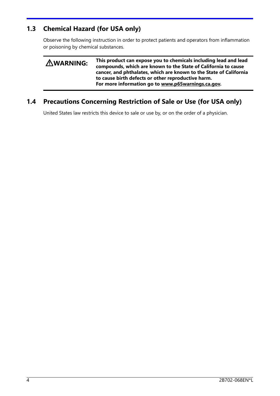## **1.3 Chemical Hazard (for USA only)**

Observe the following instruction in order to protect patients and operators from inflammation or poisoning by chemical substances.

| <b>AWARNING:</b> | This product can expose you to chemicals including lead and lead<br>compounds, which are known to the State of California to cause<br>cancer, and phthalates, which are known to the State of California<br>to cause birth defects or other reproductive harm.<br>For more information go to www.p65warnings.ca.gov. |
|------------------|----------------------------------------------------------------------------------------------------------------------------------------------------------------------------------------------------------------------------------------------------------------------------------------------------------------------|
|                  |                                                                                                                                                                                                                                                                                                                      |

## **1.4 Precautions Concerning Restriction of Sale or Use (for USA only)**

United States law restricts this device to sale or use by, or on the order of a physician.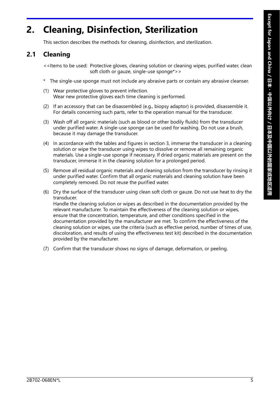## **2. Cleaning, Disinfection, Sterilization**

This section describes the methods for cleaning, disinfection, and sterilization.

## **2.1 Cleaning**

<<Items to be used: Protective gloves, cleaning solution or cleaning wipes, purified water, clean soft cloth or gauze, single-use sponge\*>>

- \* The single-use sponge must not include any abrasive parts or contain any abrasive cleanser.
- (1) Wear protective gloves to prevent infection. Wear new protective gloves each time cleaning is performed.
- (2) If an accessory that can be disassembled (e.g., biopsy adaptor) is provided, disassemble it. For details concerning such parts, refer to the operation manual for the transducer.
- (3) Wash off all organic materials (such as blood or other bodily fluids) from the transducer under purified water. A single-use sponge can be used for washing. Do not use a brush, because it may damage the transducer.
- (4) In accordance with the tables and figures in section 3, immerse the transducer in a cleaning solution or wipe the transducer using wipes to dissolve or remove all remaining organic materials. Use a single-use sponge if necessary. If dried organic materials are present on the transducer, immerse it in the cleaning solution for a prolonged period.
- (5) Remove all residual organic materials and cleaning solution from the transducer by rinsing it under purified water. Confirm that all organic materials and cleaning solution have been completely removed. Do not reuse the purified water.
- (6) Dry the surface of the transducer using clean soft cloth or gauze. Do not use heat to dry the transducer. Handle the cleaning solution or wipes as described in the documentation provided by the relevant manufacturer. To maintain the effectiveness of the cleaning solution or wipes, ensure that the concentration, temperature, and other conditions specified in the documentation provided by the manufacturer are met. To confirm the effectiveness of the cleaning solution or wipes, use the criteria (such as effective period, number of times of use, discoloration, and results of using the effectiveness test kit) described in the documentation provided by the manufacturer.
- (7) Confirm that the transducer shows no signs of damage, deformation, or peeling.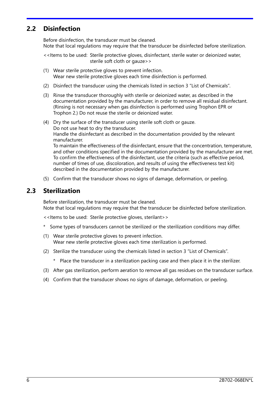#### **2.2 Disinfection**

Before disinfection, the transducer must be cleaned. Note that local regulations may require that the transducer be disinfected before sterilization.

<<Items to be used: Sterile protective gloves, disinfectant, sterile water or deionized water, sterile soft cloth or gauze>>

- (1) Wear sterile protective gloves to prevent infection. Wear new sterile protective gloves each time disinfection is performed.
- (2) Disinfect the transducer using the chemicals listed in section 3 "List of Chemicals".
- (3) Rinse the transducer thoroughly with sterile or deionized water, as described in the documentation provided by the manufacturer, in order to remove all residual disinfectant. (Rinsing is not necessary when gas disinfection is performed using Trophon EPR or Trophon 2.) Do not reuse the sterile or deionized water.
- (4) Dry the surface of the transducer using sterile soft cloth or gauze. Do not use heat to dry the transducer. Handle the disinfectant as described in the documentation provided by the relevant manufacturer. To maintain the effectiveness of the disinfectant, ensure that the concentration, temperature, and other conditions specified in the documentation provided by the manufacturer are met.

To confirm the effectiveness of the disinfectant, use the criteria (such as effective period, number of times of use, discoloration, and results of using the effectiveness test kit) described in the documentation provided by the manufacturer.

(5) Confirm that the transducer shows no signs of damage, deformation, or peeling.

#### **2.3 Sterilization**

Before sterilization, the transducer must be cleaned. Note that local regulations may require that the transducer be disinfected before sterilization.

<<Items to be used: Sterile protective gloves, sterilant>>

- \* Some types of transducers cannot be sterilized or the sterilization conditions may differ.
- (1) Wear sterile protective gloves to prevent infection. Wear new sterile protective gloves each time sterilization is performed.
- (2) Sterilize the transducer using the chemicals listed in section 3 "List of Chemicals".
	- \* Place the transducer in a sterilization packing case and then place it in the sterilizer.
- (3) After gas sterilization, perform aeration to remove all gas residues on the transducer surface.
- (4) Confirm that the transducer shows no signs of damage, deformation, or peeling.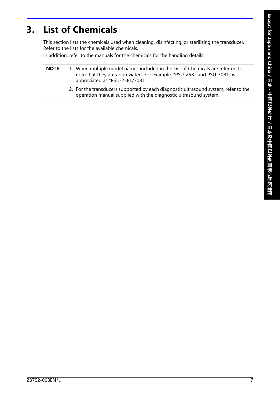## **3. List of Chemicals**

This section lists the chemicals used when cleaning, disinfecting, or sterilizing the transducer. Refer to the lists for the available chemicals.

In addition, refer to the manuals for the chemicals for the handling details.

- **NOTE** 1. When multiple model names included in the List of Chemicals are referred to, note that they are abbreviated. For example, "PSU-25BT and PSU-30BT" is abbreviated as "PSU-25BT/30BT".
	- 2. For the transducers supported by each diagnostic ultrasound system, refer to the operation manual supplied with the diagnostic ultrasound system.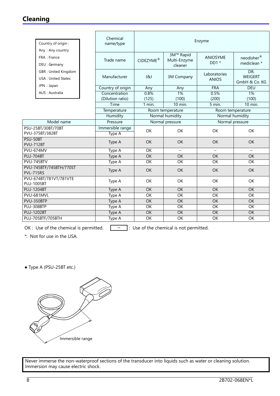### **Cleaning**

| Chemical<br>name/type                         | Enzyme                                                                                                        |                                      |                                                                                          |                                                          |  |  |
|-----------------------------------------------|---------------------------------------------------------------------------------------------------------------|--------------------------------------|------------------------------------------------------------------------------------------|----------------------------------------------------------|--|--|
| Trade name                                    | CIDEZYME®                                                                                                     | 3M™ Rapid<br>Multi-Enzyme<br>cleaner | <b>ANIOSYME</b><br>$DD1*$                                                                | neodisher®<br>mediclean *                                |  |  |
| Manufacturer                                  | <b>J&amp;J</b>                                                                                                | 3M Company                           | Laboratories<br><b>ANIOS</b>                                                             | DR.<br><b>WEIGERT</b><br>GmbH & Co. KG                   |  |  |
|                                               | Any                                                                                                           | Any                                  |                                                                                          | <b>DEU</b>                                               |  |  |
|                                               |                                                                                                               |                                      |                                                                                          | 1%                                                       |  |  |
|                                               |                                                                                                               |                                      |                                                                                          | (100)                                                    |  |  |
|                                               |                                                                                                               |                                      |                                                                                          | $10$ min.                                                |  |  |
|                                               |                                                                                                               |                                      | Room temperature                                                                         |                                                          |  |  |
|                                               |                                                                                                               |                                      | Normal humidity                                                                          |                                                          |  |  |
| Pressure                                      |                                                                                                               |                                      | Normal pressure                                                                          |                                                          |  |  |
| Type A                                        | OK                                                                                                            | <b>OK</b>                            | OK<br>OK                                                                                 |                                                          |  |  |
| <b>OK</b><br><b>OK</b><br><b>OK</b><br>Type A |                                                                                                               | <b>OK</b>                            |                                                                                          |                                                          |  |  |
| Type A                                        | $\overline{OK}$                                                                                               | $\equiv$                             | $\equiv$                                                                                 | $\equiv$                                                 |  |  |
| Type A                                        | $\overline{OK}$                                                                                               | $\overline{OK}$                      | OK                                                                                       | $\overline{OK}$                                          |  |  |
| Type A                                        | OK                                                                                                            | OK                                   | OK                                                                                       | OK                                                       |  |  |
| Type A                                        | <b>OK</b>                                                                                                     | OK                                   | OK                                                                                       | OK                                                       |  |  |
| Type A                                        | OK                                                                                                            | OK                                   | OK                                                                                       | OK                                                       |  |  |
| Type A                                        | $\overline{OK}$                                                                                               |                                      |                                                                                          | $\overline{OK}$                                          |  |  |
| Type A                                        | OK                                                                                                            | $\overline{OK}$                      | OK                                                                                       | $\overline{OK}$                                          |  |  |
| Type A                                        | $\overline{OK}$                                                                                               | $\overline{OK}$                      | $\overline{OK}$                                                                          | $\overline{OK}$                                          |  |  |
| Type A                                        | $\overline{OK}$                                                                                               | $\overline{OK}$                      | $\overline{OK}$                                                                          | $\overline{OK}$                                          |  |  |
| Type A                                        | $\overline{OK}$                                                                                               | <b>OK</b>                            | OK                                                                                       | OK                                                       |  |  |
| Type A                                        | $\overline{OK}$                                                                                               | $\overline{OK}$                      | $\overline{OK}$                                                                          | $\overline{OK}$                                          |  |  |
|                                               | Country of origin<br>Concentration<br>(Dilution ratio)<br>Time<br>Temperature<br>Humidity<br>Immersible range | 0.8%<br>(125)<br>1 min.              | 1%<br>(100)<br>$10$ min.<br>Room temperature<br>Normal humidity<br>Normal pressure<br>OK | <b>FRA</b><br>0.5%<br>(200)<br>5 min.<br>$\overline{OK}$ |  |  |

OK : Use of the chemical is permitted.  $\boxed{\phantom{a}^- \phantom{a}}$  : Use of the chemical is not permitted.

\*: Not for use in the USA.

● Type A (PSU-25BT etc.)

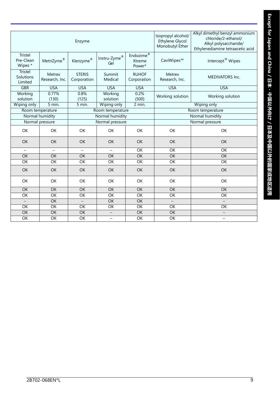|                                 |                          | Enzyme                       | Isopropyl alcohol/<br>Ethylene Glycol<br>Monobutyl Ether | Alkyl dimethyl benzyl ammonium<br>chloride/2-ethanol/<br>Alkyl polysaccharide/<br>Ethylenediamine tetraacetic acid |                          |                              |  |
|---------------------------------|--------------------------|------------------------------|----------------------------------------------------------|--------------------------------------------------------------------------------------------------------------------|--------------------------|------------------------------|--|
| Tristel<br>Pre-Clean<br>Wipes * | MetriZyme®               | Klenzyme®                    | ${\sf Instru\text{-}Zyme}^{\circledast}$<br>Gel          | Endozime®<br>Xtreme<br>Power*                                                                                      | CaviWipes™               | Intercept <sup>®</sup> Wipes |  |
| Tristel<br>Solutions<br>Limited | Metrex<br>Research, Inc. | <b>STERIS</b><br>Corporation | Summit<br>Medical                                        | <b>RUHOF</b><br>Corporation                                                                                        | Metrex<br>Research, Inc. | <b>MEDIVATORS Inc.</b>       |  |
| <b>GBR</b>                      | <b>USA</b>               | <b>USA</b>                   | <b>USA</b>                                               | <b>USA</b>                                                                                                         | <b>USA</b>               | <b>USA</b>                   |  |
| Working<br>solution             | 0.77%<br>(130)           | 0.8%<br>(125)                | Working<br>solution                                      | 0.2%<br>(500)                                                                                                      | Working solution         | Working solution             |  |
| Wiping only                     | 5 min.                   | 5 min.                       | Wiping only                                              | 2 min.                                                                                                             | Wiping only              |                              |  |
|                                 | Room temperature         |                              | Room temperature                                         | Room temperature                                                                                                   |                          |                              |  |
|                                 | Normal humidity          |                              | Normal humidity                                          |                                                                                                                    | Normal humidity          |                              |  |
| Normal pressure                 |                          |                              | Normal pressure                                          |                                                                                                                    |                          | Normal pressure              |  |
| <b>OK</b>                       | <b>OK</b>                | OK                           | OK                                                       | OK                                                                                                                 | OK                       | OK                           |  |
| <b>OK</b>                       | <b>OK</b>                | OK                           | <b>OK</b>                                                | <b>OK</b>                                                                                                          | <b>OK</b>                | <b>OK</b>                    |  |
| $\overline{\phantom{m}}$        | $\overline{\phantom{0}}$ | $\overline{\phantom{0}}$     | $\overline{\phantom{0}}$                                 | OK                                                                                                                 | OK                       | OK                           |  |
| OK                              | OK                       | OK                           | OK                                                       | OK                                                                                                                 | <b>OK</b>                | $\overline{OK}$              |  |
| $\overline{OK}$                 | $\overline{OK}$          | $\overline{OK}$              | $\overline{OK}$                                          | $\overline{OK}$                                                                                                    | $\overline{OK}$          | $\overline{\mathsf{OK}}$     |  |
| OK                              | OK                       | OK                           | OK                                                       | <b>OK</b>                                                                                                          | OK                       | OK                           |  |
| <b>OK</b>                       | OK                       | OK                           | OK                                                       | OK                                                                                                                 | OK<br>OK                 |                              |  |
| <b>OK</b>                       | <b>OK</b>                | OK                           | <b>OK</b>                                                | OK                                                                                                                 | OK                       | OK                           |  |
| OK                              | $\overline{OK}$          | OK                           | $\overline{OK}$                                          | $\overline{OK}$                                                                                                    | OK                       | OK                           |  |
|                                 | $\overline{OK}$          | $\overline{a}$               | $\overline{OK}$                                          | $\overline{OK}$                                                                                                    | $\equiv$                 | $\equiv$                     |  |
| OK                              | $\overline{OK}$          | $\overline{OK}$              | OK                                                       | $\overline{OK}$                                                                                                    | $\overline{OK}$          | $\overline{OK}$              |  |
| $\overline{OK}$                 | $\overline{OK}$          | $\overline{OK}$              | $\overline{\phantom{0}}$                                 | $\overline{OK}$                                                                                                    | $\overline{OK}$          | $\qquad \qquad -$            |  |
| OK                              | $\overline{OK}$          | $\overline{OK}$              | $\equiv$                                                 | $\overline{OK}$                                                                                                    | OK                       | $\overline{\phantom{0}}$     |  |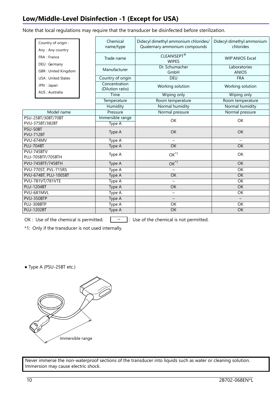## **Low/Middle-Level Disinfection -1 (Except for USA)**

Note that local regulations may require that the transducer be disinfected before sterilization.

| Country of origin:<br>Any: Any country | Chemical<br>name/type             | Didecyl dimethyl ammonium chlorides/<br>Quaternary ammonium compounds | Didecyl dimethyl ammonium<br>chlorides |  |
|----------------------------------------|-----------------------------------|-----------------------------------------------------------------------|----------------------------------------|--|
| FRA : France<br>DEU : Germany          | Trade name                        | CLEANISEPT®<br><b>WIPES</b>                                           | <b>WIP'ANIOS Excel</b>                 |  |
| GBR: United Kingdom                    | Manufacturer                      | Dr. Schumacher<br>GmbH                                                | Laboratories<br><b>ANIOS</b>           |  |
| <b>USA: United States</b>              | Country of origin                 | <b>DEU</b>                                                            | <b>FRA</b>                             |  |
| JPN : Japan<br>AUS: Australia          | Concentration<br>(Dilution ratio) | Working solution                                                      | Working solution                       |  |
|                                        | Time                              | Wiping only                                                           | Wiping only                            |  |
|                                        | Temperature                       | Room temperature                                                      | Room temperature                       |  |
|                                        | Humidity                          | Normal humidity                                                       | Normal humidity                        |  |
| Model name                             | Pressure                          | Normal pressure                                                       | Normal pressure                        |  |
| PSU-25BT/30BT/70BT                     | Immersible range                  | OK                                                                    | <b>OK</b>                              |  |
| PVU-375BT/382BT                        | Type A                            |                                                                       |                                        |  |
| PSU-50BT<br><b>PVU-712BT</b>           | Type A                            | OK                                                                    | OK                                     |  |
| <b>PVU-674MV</b>                       | Type A                            | $\equiv$                                                              | $\equiv$                               |  |
| <b>PLU-704BT</b>                       | Type A                            | <b>OK</b>                                                             | $\overline{OK}$                        |  |
| PVU-745BTV<br>PLU-705BTF/705BTH        | Type A                            | $OK*1$                                                                | OK                                     |  |
| PVU-745BTF/745BTH                      | Type A                            | $OK^{\star 1}$                                                        | <b>OK</b>                              |  |
| PVU-770ST, PVL-715RS                   | Type A                            |                                                                       | $\overline{OK}$                        |  |
| <b>PVU-674BT, PLU-1005BT</b>           | Type A                            | $\overline{OK}$                                                       | <b>OK</b>                              |  |
| <b>PVU-781VT/781VTE</b>                | Type A                            |                                                                       | $\overline{OK}$                        |  |
| <b>PLU-1204BT</b>                      | Type A                            | OK                                                                    | <b>OK</b>                              |  |
| PVU-681MVL                             | Type A                            | $\equiv$                                                              | OK                                     |  |
| PVU-350BTP                             | Type A                            |                                                                       |                                        |  |
| PLU-308BTP                             | Type A                            | $\overline{OK}$                                                       | OK                                     |  |
| <b>PLU-1202BT</b>                      | <b>Type A</b>                     | OK                                                                    | OK                                     |  |

OK : Use of the chemical is permitted.  $\boxed{\phantom{a}^- \phantom{a}}$  : Use of the chemical is not permitted.

\*1: Only if the transducer is not used internally.

● Type A (PSU-25BT etc.)

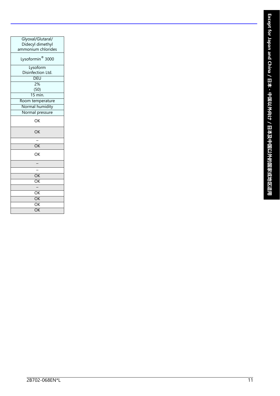| Glyoxal/Glutaral/            |
|------------------------------|
| Didecyl dimethyl             |
| ammonium chlorides           |
| Lysoformin <sup>®</sup> 3000 |
| Lysoform                     |
| Disinfection Ltd.            |
| DEU                          |
| 2%                           |
| (50)                         |
| $\frac{1}{15}$ min.          |
| Room temperature             |
| Normal humidity              |
| Normal pressure              |
| OK                           |
| OK                           |
|                              |
| OK                           |
| OK                           |
|                              |
|                              |
| OK                           |
| $\overline{\mathsf{OK}}$     |
|                              |
| OK                           |
| $\overline{\mathsf{OK}}$     |
| $\overline{\mathsf{OK}}$     |
| $\overline{\mathsf{OK}}$     |
|                              |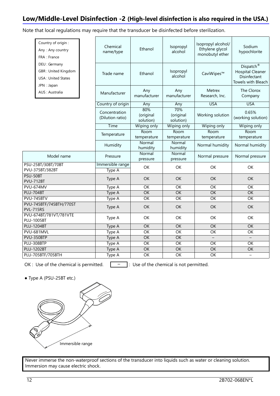#### **Low/Middle-Level Disinfection -2 (High-level disinfection is also required in the USA.)**

Note that local regulations may require that the transducer be disinfected before sterilization.

|                                             | Country of origin :<br>Any: Any country<br>FRA : France                                 | Chemical<br>name/type             | Ethanol                            | Isopropyl<br>alcohol          | Isopropyl alcohol/<br>Ethylene glycol<br>monobutyl ether | Sodium<br>hypochlorite                                                                 |
|---------------------------------------------|-----------------------------------------------------------------------------------------|-----------------------------------|------------------------------------|-------------------------------|----------------------------------------------------------|----------------------------------------------------------------------------------------|
|                                             | DEU : Germany<br><b>GBR: United Kingdom</b><br><b>USA: United States</b><br>JPN : Japan | Trade name                        | Ethanol                            | Isopropyl<br>alcohol          | CaviWipes™                                               | Dispatch <sup>®</sup><br><b>Hospital Cleaner</b><br>Disinfectant<br>Towels with Bleach |
|                                             | AUS: Australia                                                                          | Manufacturer                      | Any<br>manufacturer                | Any<br>manufacturer           | Metrex<br>Research, Inc.                                 | The Clorox<br>Company                                                                  |
|                                             |                                                                                         | Country of origin                 | Any                                | Any                           | <b>USA</b>                                               | <b>USA</b>                                                                             |
|                                             |                                                                                         | Concentration<br>(Dilution ratio) | 80%<br>(original<br>solution)      | 70%<br>(original<br>solution) | Working solution                                         | 0.65%<br>(working solution)                                                            |
|                                             |                                                                                         | Time                              | Wiping only                        | Wiping only                   | Wiping only                                              | Wiping only                                                                            |
|                                             |                                                                                         | Temperature                       | Room<br>temperature                | <b>Room</b><br>temperature    | Room<br>temperature                                      | Room<br>temperature                                                                    |
|                                             |                                                                                         | Humidity                          | Normal<br>humidity                 | Normal<br>humidity            | Normal humidity                                          | Normal humidity                                                                        |
| Model name                                  |                                                                                         | Pressure                          | Normal<br>pressure                 | Normal<br>pressure            | Normal pressure                                          | Normal pressure                                                                        |
|                                             | PSU-25BT/30BT/70BT<br>PVU-375BT/382BT                                                   | Immersible range<br>Type A        | OK                                 | OK                            | OK                                                       | OK                                                                                     |
| PSU-50BT<br><b>PVU-712BT</b>                |                                                                                         | Type A                            | OK                                 | <b>OK</b>                     | <b>OK</b>                                                | OK                                                                                     |
| PVU-674MV                                   |                                                                                         | Type A                            | $\overline{OK}$                    | $\overline{OK}$               | $\overline{OK}$                                          | $\overline{OK}$                                                                        |
| <b>PLU-704BT</b>                            |                                                                                         | Type A                            | OK                                 | OK                            | OK                                                       | OK                                                                                     |
|                                             | PVU-745BTV                                                                              | Type A                            | $\overline{OK}$                    | $\overline{OK}$               | $\overline{OK}$                                          | $\overline{OK}$                                                                        |
| <b>PVL-715RS</b>                            | PVU-745BTF/745BTH/770ST                                                                 | Type A                            | OK                                 | OK                            | OK                                                       | OK                                                                                     |
| PVU-674BT/781VT/781VTE<br><b>PLU-1005BT</b> |                                                                                         | Type A                            | OK                                 | OK                            | OK                                                       | OK                                                                                     |
| <b>PLU-1204BT</b>                           |                                                                                         | Type A                            | $\overline{OK}$                    | $\overline{OK}$               | $\overline{OK}$                                          | $\overline{OK}$                                                                        |
|                                             | PVU-681MVL                                                                              | Type A                            | $\overline{OK}$                    | $\overline{OK}$               | OK                                                       | $\overline{OK}$                                                                        |
|                                             | PVU-350BTP                                                                              | Type A                            | $\overline{OK}$                    | $\overline{OK}$               | $\qquad \qquad -$                                        |                                                                                        |
| PLU-308BTP                                  |                                                                                         | Type A                            | OK                                 | $\overline{OK}$               | OK                                                       | OK                                                                                     |
| <b>PLU-1202BT</b>                           |                                                                                         | Type A                            | $\overline{OK}$<br>$\overline{OK}$ | $\overline{OK}$               | $\overline{OK}$                                          | $\overline{OK}$                                                                        |
| PLU-705BTF/705BTH                           |                                                                                         | Type A                            |                                    | $\overline{OK}$               | $\overline{OK}$                                          | $\qquad \qquad -$                                                                      |

OK : Use of the chemical is permitted.  $\boxed{\phantom{a}^- \phantom{a}}$  : Use of the chemical is not permitted.

● Type A (PSU-25BT etc.)

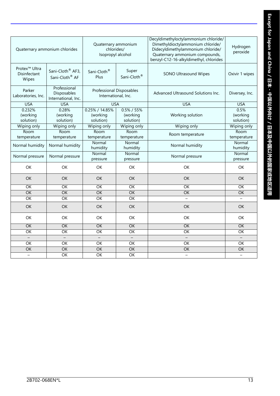|                                                    | Quaternary ammonium chlorides                              | Quaternary ammonium<br>chlorides/<br>Isopropyl alcohol |                                         | Decyldimethyloctylammonium chloride/<br>Dimethyldioctylammonium chloride/<br>Didecyldimethylammonium chloride/<br>Quaternary ammonium compounds,<br>benzyl-C12-16-alkyldimethyl, chlorides | Hydrogen<br>peroxide          |
|----------------------------------------------------|------------------------------------------------------------|--------------------------------------------------------|-----------------------------------------|--------------------------------------------------------------------------------------------------------------------------------------------------------------------------------------------|-------------------------------|
| Protex <sup>™</sup> Ultra<br>Disinfectant<br>Wipes | Sani-Cloth <sup>®</sup> AF3,<br>Sani-Cloth <sup>®</sup> AF | Sani-Cloth <sup>®</sup><br>Plus                        | Super<br>Sani-Cloth <sup>®</sup>        | SONO Ultrasound Wipes                                                                                                                                                                      | Oxivir 1 wipes                |
| Parker<br>Laboratories, Inc.                       | Professional<br>Disposables<br>International, Inc.         | <b>Professional Disposables</b><br>International, Inc. |                                         | Advanced Ultrasound Solutions Inc.                                                                                                                                                         | Diversey, Inc.                |
| <b>USA</b>                                         | <b>USA</b>                                                 | <b>USA</b>                                             |                                         | <b>USA</b>                                                                                                                                                                                 | <b>USA</b>                    |
| 0.232%<br>(working<br>solution)                    | 0.28%<br>(working<br>solution)                             | 0.25% / 14.85%<br>(working<br>solution)                | $0.5\% / 55\%$<br>(working<br>solution) | Working solution                                                                                                                                                                           | 0.5%<br>(working<br>solution) |
| Wiping only                                        | Wiping only                                                | Wiping only                                            | Wiping only                             | Wiping only                                                                                                                                                                                | Wiping only                   |
| Room<br>temperature                                | Room<br>temperature                                        | Room<br>temperature                                    | Room<br>temperature                     | Room temperature                                                                                                                                                                           | Room<br>temperature           |
| Normal humidity                                    | Normal humidity                                            | Normal<br>humidity                                     | Normal<br>humidity                      | Normal humidity                                                                                                                                                                            | Normal<br>humidity            |
| Normal pressure                                    | Normal pressure                                            | Normal<br>pressure                                     | Normal<br>pressure                      | Normal pressure                                                                                                                                                                            | Normal<br>pressure            |
| OK                                                 | <b>OK</b>                                                  | OK                                                     | OK                                      | OK                                                                                                                                                                                         | OK                            |
| OK                                                 | OK                                                         | <b>OK</b>                                              | <b>OK</b>                               | <b>OK</b>                                                                                                                                                                                  | <b>OK</b>                     |
| $\overline{OK}$                                    | $\overline{OK}$                                            | $\overline{OK}$                                        | $\overline{OK}$                         | $\overline{OK}$                                                                                                                                                                            | OK                            |
| OK                                                 | $\overline{OK}$                                            | OK                                                     | OK                                      | $\overline{OK}$                                                                                                                                                                            | $\overline{OK}$               |
| $\overline{OK}$                                    | $\overline{OK}$                                            | $\overline{OK}$                                        | $\overline{OK}$                         |                                                                                                                                                                                            |                               |
| OK                                                 | OK                                                         | OK                                                     | OK                                      | OK                                                                                                                                                                                         | OK                            |
| OK                                                 | OK                                                         | OK                                                     | OK                                      | OK                                                                                                                                                                                         | OK                            |
| OK                                                 | $\overline{OK}$                                            | $\overline{OK}$                                        | OK                                      | OK                                                                                                                                                                                         | $\overline{OK}$               |
| $\overline{OK}$                                    | $\overline{OK}$                                            | $\overline{OK}$                                        | $\overline{OK}$                         | $\overline{OK}$                                                                                                                                                                            | $\overline{OK}$               |
| $\equiv$                                           | $\equiv$                                                   | $\equiv$                                               | $\equiv$                                | $\equiv$                                                                                                                                                                                   | $\overline{\phantom{0}}$      |
| $\overline{OK}$                                    | $\overline{OK}$                                            | $\overline{OK}$                                        | $\overline{OK}$                         | $\overline{OK}$                                                                                                                                                                            | $\overline{OK}$               |
| $\overline{OK}$                                    | $\overline{OK}$                                            | OK                                                     | OK                                      | $\overline{OK}$                                                                                                                                                                            | $\overline{OK}$               |
| $\overline{\phantom{0}}$                           | OK                                                         | OK                                                     | $\overline{OK}$                         | $\qquad \qquad -$                                                                                                                                                                          |                               |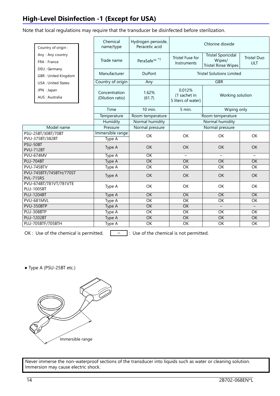## **High-Level Disinfection -1 (Except for USA)**

Note that local regulations may require that the transducer be disinfected before sterilization.

|                                             | Country of origin :                         | Chemical<br>name/type             | Hydrogen peroxide,<br>Peracetic acid |                                                                  | Chlorine dioxide                                                  |                                  |  |  |
|---------------------------------------------|---------------------------------------------|-----------------------------------|--------------------------------------|------------------------------------------------------------------|-------------------------------------------------------------------|----------------------------------|--|--|
| Any: Any country<br>FRA : France            |                                             | Trade name                        | PeraSafe <sup>™ *1</sup>             | Tristel Fuse for<br>Instruments                                  | <b>Tristel Sporicidal</b><br>Wipes/<br><b>Tristel Rinse Wipes</b> | <b>Tristel Duo</b><br><b>ULT</b> |  |  |
|                                             | DEU : Germany<br><b>GBR: United Kingdom</b> | Manufacturer                      | <b>DuPont</b>                        | <b>Tristel Solutions Limited</b>                                 |                                                                   |                                  |  |  |
|                                             | <b>USA: United States</b>                   | Country of origin                 | Any                                  |                                                                  | <b>GBR</b>                                                        |                                  |  |  |
| JPN : Japan<br>AUS: Australia               |                                             | Concentration<br>(Dilution ratio) | 1.62%<br>(61.7)                      | 0.012%<br>(1 sachet in<br>Working solution<br>5 liters of water) |                                                                   |                                  |  |  |
|                                             |                                             | Time                              | 10 min.                              | 5 min.                                                           | Wiping only                                                       |                                  |  |  |
|                                             |                                             | Temperature                       | Room temperature                     | Room temperature                                                 |                                                                   |                                  |  |  |
|                                             |                                             | Humidity                          | Normal humidity                      |                                                                  | Normal humidity                                                   |                                  |  |  |
|                                             | Model name                                  | Pressure                          | Normal pressure                      |                                                                  | Normal pressure                                                   |                                  |  |  |
|                                             | PSU-25BT/30BT/70BT<br>PVU-375BT/382BT       | Immersible range<br>Type A        | OK                                   | OK                                                               | OK<br>OK                                                          |                                  |  |  |
| PSU-50BT<br><b>PVU-712BT</b>                |                                             | Type A                            | OK                                   | <b>OK</b>                                                        | <b>OK</b><br><b>OK</b>                                            |                                  |  |  |
| PVU-674MV                                   |                                             | Type A                            | OK                                   | $\equiv$                                                         |                                                                   |                                  |  |  |
| <b>PLU-704BT</b>                            |                                             | <b>Type A</b>                     | $\overline{OK}$                      | $\overline{OK}$                                                  | $\overline{OK}$                                                   | $\overline{OK}$                  |  |  |
|                                             | PVU-745BTV                                  | Type A                            | OK                                   | OK                                                               | OK                                                                | OK                               |  |  |
| <b>PVL-715RS</b>                            | PVU-745BTF/745BTH/770ST                     | Type A                            | <b>OK</b>                            | <b>OK</b>                                                        | OK                                                                | <b>OK</b>                        |  |  |
| PVU-674BT/781VT/781VTE<br><b>PLU-1005BT</b> |                                             | Type A                            | OK                                   | OK                                                               | OK                                                                | <b>OK</b>                        |  |  |
| <b>PLU-1204BT</b>                           |                                             | Type A                            | $\overline{OK}$                      | OK                                                               | $\overline{OK}$                                                   | $\overline{OK}$                  |  |  |
|                                             | PVU-681MVL                                  | Type A                            | OK                                   | OK                                                               | OK                                                                | OK                               |  |  |
| PVU-350BTP                                  |                                             | <b>Type A</b>                     | $\overline{OK}$                      | $\overline{OK}$                                                  | $\overline{\phantom{0}}$                                          | $\equiv$                         |  |  |
| PLU-308BTP                                  |                                             | Type A                            | $\overline{\alpha}$                  | $\overline{OK}$                                                  | $\overline{OK}$                                                   | $\overline{OK}$                  |  |  |
| <b>PLU-1202BT</b>                           |                                             | Type A                            | $\overline{OK}$                      | $\overline{OK}$                                                  | $\overline{OK}$                                                   | $\overline{OK}$                  |  |  |
|                                             | PLU-705BTF/705BTH                           | Type A                            | $\overline{OK}$                      | $\overline{OK}$                                                  | $\overline{OK}$                                                   | OK                               |  |  |

OK : Use of the chemical is permitted.  $\boxed{\phantom{a}^- \phantom{a}}$  : Use of the chemical is not permitted.

● Type A (PSU-25BT etc.)

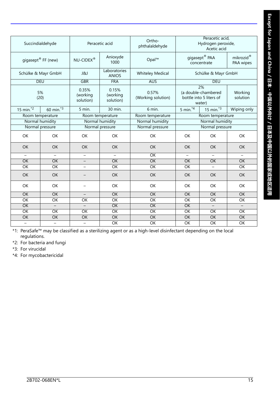| Succindialdehyde         |                                | Peracetic acid                 |                                | Ortho-<br>phthalaldehyde    |                                                                | Peracetic acid,<br>Hydrogen peroxide,<br>Acetic acid   |                          |
|--------------------------|--------------------------------|--------------------------------|--------------------------------|-----------------------------|----------------------------------------------------------------|--------------------------------------------------------|--------------------------|
|                          | gigasept <sup>®</sup> FF (new) | $NU$ -CIDEX®                   | Anioxyde<br>1000               | Opal™                       |                                                                | gigasept® PAA<br>mikrozid®<br>PAA wipes<br>concentrate |                          |
|                          | Schülke & Mayr GmbH            | <b>J&amp;J</b>                 | Laboratories<br><b>ANIOS</b>   | <b>Whiteley Medical</b>     |                                                                | Schülke & Mayr GmbH                                    |                          |
|                          | <b>DEU</b>                     | <b>GBR</b>                     | <b>FRA</b>                     | <b>AUS</b>                  |                                                                | <b>DEU</b>                                             |                          |
|                          | 5%<br>(20)                     | 0.35%<br>(working<br>solution) | 0.15%<br>(working<br>solution) | 0.57%<br>(Working solution) | 2%<br>(a double-chambered<br>bottle into 5 liters of<br>water) |                                                        | Working<br>solution      |
| 15 min. $\overline{2}$   | 60 min. $3$                    | 5 min.                         | 30 min.                        | 6 min.                      | 5 min. $4$                                                     | 15 min. $3$                                            | Wiping only              |
|                          | Room temperature               |                                | Room temperature               | Room temperature            |                                                                | Room temperature                                       |                          |
| Normal humidity          |                                | Normal humidity                |                                | Normal humidity             | Normal humidity                                                |                                                        |                          |
|                          | Normal pressure                |                                | Normal pressure                | Normal pressure             |                                                                | Normal pressure                                        |                          |
| OK                       | OK                             | OK                             | OK                             | OK                          | OK                                                             | OK                                                     | OK                       |
| <b>OK</b>                | OK                             | <b>OK</b>                      | OK                             | OK                          | <b>OK</b>                                                      | OK                                                     | <b>OK</b>                |
| $\qquad \qquad -$        | $\qquad \qquad -$              | $\qquad \qquad -$              |                                | OK                          | $\qquad \qquad -$                                              |                                                        | $\overline{\phantom{m}}$ |
| <b>OK</b>                | OK                             |                                | OK                             | OK                          | OK                                                             | OK                                                     | OK                       |
| OK                       | $\overline{OK}$                | $\overline{\phantom{0}}$       | $\overline{OK}$                | $\overline{OK}$             | OK                                                             | $-$                                                    | OK                       |
| OK                       | <b>OK</b>                      |                                | OK                             | OK                          | OK                                                             | <b>OK</b>                                              | OK                       |
| OK                       | OK                             |                                | OK                             | OK                          | OK                                                             | OK                                                     | OK                       |
| OK                       | $\overline{OK}$                | $\overline{\phantom{a}}$       | $\overline{OK}$                | OK                          | OK                                                             | $\overline{OK}$                                        | $\overline{OK}$          |
| $\overline{OK}$          | $\overline{OK}$                | $\overline{OK}$                | $\overline{OK}$                | $\overline{OK}$             | $\overline{\alpha}$                                            | $\overline{OK}$                                        | $\overline{OK}$          |
| OK                       | $\equiv$                       | $-$                            | OK                             | OK                          | OK                                                             | $\equiv$                                               | $\equiv$                 |
| OK                       | $\overline{OK}$                | OK                             | OK                             | OK                          | OK                                                             | $\overline{OK}$                                        | OK                       |
| OK                       | $\overline{OK}$                | OK                             | $\overline{OK}$                | OK                          | $\overline{OK}$                                                | $\overline{OK}$                                        | OK                       |
| $\overline{\phantom{0}}$ | $\overline{\phantom{0}}$       | $\overline{\phantom{0}}$       | $\overline{OK}$                | $\overline{OK}$             | OK                                                             | $\overline{OK}$                                        | OK                       |

\*1: PeraSafe™ may be classified as a sterilizing agent or as a high-level disinfectant depending on the local regulations.

\*2: For bacteria and fungi

\*3: For virucidal

\*4: For mycobactericidal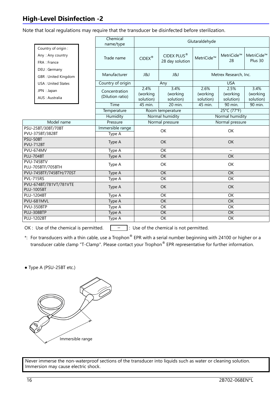## **High-Level Disinfection -2**

Note that local regulations may require that the transducer be disinfected before sterilization.

|                                                        | Chemical<br>name/type             | Glutaraldehyde                |                                            |                               |                               |                               |
|--------------------------------------------------------|-----------------------------------|-------------------------------|--------------------------------------------|-------------------------------|-------------------------------|-------------------------------|
| Country of origin:<br>Any: Any country<br>FRA : France | Trade name                        | $CIDEX^{\circledast}$         | CIDEX PLUS <sup>®</sup><br>28 day solution | MetriCide™                    | MetriCide™<br>28              | MetriCide™<br>Plus 30         |
| DEU : Germany<br><b>GBR: United Kingdom</b>            | Manufacturer                      | J&J<br><b>J&amp;J</b>         |                                            | Metrex Research, Inc.         |                               |                               |
| <b>USA: United States</b>                              | Country of origin                 | Any                           |                                            | <b>USA</b>                    |                               |                               |
| JPN : Japan<br>AUS: Australia                          | Concentration<br>(Dilution ratio) | 2.4%<br>(working<br>solution) | 3.4%<br>(working<br>solution)              | 2.6%<br>(working<br>solution) | 2.5%<br>(working<br>solution) | 3.4%<br>(working<br>solution) |
|                                                        | Time                              | 45 min.                       | 20 min.                                    | 45 min.                       | 90 min.                       | 90 min.                       |
|                                                        | Temperature                       | Room temperature              |                                            | 25°C (77°F)                   |                               |                               |
|                                                        | Humidity                          | Normal humidity               |                                            | Normal humidity               |                               |                               |
| Model name                                             | Pressure                          | Normal pressure               |                                            | Normal pressure               |                               |                               |
| PSU-25BT/30BT/70BT                                     | Immersible range                  | OK                            |                                            | OK                            |                               |                               |
| PVU-375BT/382BT                                        | Type A                            |                               |                                            |                               |                               |                               |
| PSU-50BT<br><b>PVU-712BT</b>                           | Type A                            | OK                            |                                            | <b>OK</b>                     |                               |                               |
| PVU-674MV                                              | Type A                            | OK                            |                                            |                               |                               |                               |
| <b>PLU-704BT</b>                                       | Type A                            | OK                            |                                            | OK                            |                               |                               |
| PVU-745BTV<br>PLU-705BTF/705BTH                        | Type A                            | OK                            |                                            | OK                            |                               |                               |
| PVU-745BTF/745BTH/770ST                                | Type A                            | OK                            |                                            | OK                            |                               |                               |
| <b>PVL-715RS</b>                                       | Type A                            | OK                            |                                            | OK                            |                               |                               |
| PVU-674BT/781VT/781VTE<br><b>PLU-1005BT</b>            | Type A                            | OK                            |                                            | <b>OK</b>                     |                               |                               |
| <b>PLU-1204BT</b>                                      | Type A                            | OK                            |                                            | OK                            |                               |                               |
| PVU-681MVL                                             | Type A                            | OK                            |                                            | $\overline{OK}$               |                               |                               |
| PVU-350BTP                                             | Type A                            | OK                            |                                            | $\overline{OK}$               |                               |                               |
| PLU-308BTP                                             | Type A                            | OK                            |                                            | OK                            |                               |                               |
| <b>PLU-1202BT</b>                                      | Type A                            | $\overline{OK}$               |                                            | OK                            |                               |                               |

OK : Use of the chemical is permitted.  $\boxed{\phantom{a}^- \phantom{a}}$  : Use of the chemical is not permitted.

- \*: For transducers with a thin cable, use a Trophon® EPR with a serial number beginning with 24100 or higher or a transducer cable clamp "T-Clamp". Please contact your Trophon® EPR representative for further information.
- Type A (PSU-25BT etc.)

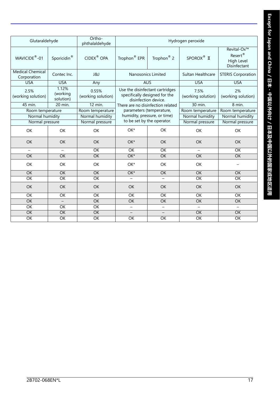| Glutaraldehyde                         |                                | Ortho-<br>phthalaldehyde    | Hydrogen peroxide                                          |                                                                  |                            |                                                                  |
|----------------------------------------|--------------------------------|-----------------------------|------------------------------------------------------------|------------------------------------------------------------------|----------------------------|------------------------------------------------------------------|
| WAVICIDE <sup>®</sup> -01              | Sporicidin <sup>®</sup>        | CIDEX <sup>®</sup> OPA      | Trophon <sup>®</sup> EPR                                   | Trophon <sup>®</sup> 2                                           | SPOROX <sup>®</sup> II     | Revital-Ox™<br>Resert <sup>®</sup><br>High Level<br>Disinfectant |
| <b>Medical Chemical</b><br>Corporation | Contec Inc.                    | J&J                         | Nanosonics Limited                                         |                                                                  | Sultan Healthcare          | <b>STERIS Corporation</b>                                        |
| <b>USA</b>                             | <b>USA</b>                     | Any                         | <b>AUS</b>                                                 |                                                                  | <b>USA</b>                 | <b>USA</b>                                                       |
| 2.5%<br>(working solution)             | 1.12%<br>(working<br>solution) | 0.55%<br>(working solution) | disinfection device.                                       | Use the disinfectant cartridges<br>specifically designed for the | 7.5%<br>(working solution) | 2%<br>(working solution)                                         |
| 45 min.                                | 20 min.                        | 12 min.                     | There are no disinfection related                          |                                                                  | 30 min.                    | 8 min.                                                           |
| Room temperature                       |                                | Room temperature            | parameters (temperature,                                   |                                                                  | Room temperature           | Room temperature                                                 |
| Normal humidity                        |                                | Normal humidity             | humidity, pressure, or time)<br>to be set by the operator. |                                                                  | Normal humidity            | Normal humidity                                                  |
| Normal pressure                        |                                | Normal pressure             |                                                            |                                                                  | Normal pressure            | Normal pressure                                                  |
| <b>OK</b>                              | <b>OK</b>                      | <b>OK</b>                   | OK*                                                        | OK                                                               | OK                         | OK                                                               |
| OK                                     | <b>OK</b>                      | OK                          | $OK*$                                                      | OK                                                               | OK                         | OK                                                               |
| $\overline{\phantom{0}}$               | $\overline{\phantom{0}}$       | OK                          | OK                                                         | OK                                                               | $\overline{\phantom{0}}$   | OK                                                               |
| OK                                     | OK                             | OK                          | $OK*$                                                      | <b>OK</b>                                                        | $\overline{OK}$            | $\overline{OK}$                                                  |
| OK                                     | OK                             | OK                          | OK*                                                        | OK                                                               | OK                         | $\qquad \qquad -$                                                |
| OK                                     | OK                             | $\overline{OK}$             | OK*                                                        | $\overline{OK}$                                                  | $\overline{OK}$            | OK                                                               |
| $\overline{OK}$                        | $\overline{OK}$                | $\overline{OK}$             | $\overline{\phantom{0}}$                                   | $\overline{\phantom{m}}$                                         | $\overline{OK}$            | $\overline{OK}$                                                  |
| OK                                     | OK                             | OK                          | OK                                                         | OK                                                               | OK                         | OK                                                               |
| OK                                     | OK                             | OK                          | OK                                                         | OK                                                               | OK                         | $\overline{OK}$                                                  |
| $\overline{OK}$                        | $\overline{\phantom{0}}$       | <b>OK</b>                   | OK                                                         | OK                                                               | $\overline{OK}$            | $\overline{OK}$                                                  |
| $\overline{OK}$                        | OK                             | OK                          | $\overline{\phantom{0}}$                                   | $\equiv$                                                         | $\equiv$                   | $\equiv$                                                         |
| $\overline{OK}$                        | OK                             | OK                          |                                                            |                                                                  | $\overline{OK}$            | $\overline{OK}$                                                  |
| $\overline{OK}$                        | OK                             | OK                          | OK                                                         | OK                                                               | $\overline{OK}$            | OK                                                               |
|                                        |                                |                             |                                                            |                                                                  |                            |                                                                  |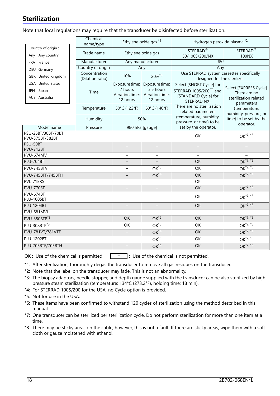## **Sterilization**

Note that local regulations may require that the transducer be disinfected before sterilization.

|                                                                                   | Chemical<br>name/type             | Ethylene oxide gas *1                                   |                                                           | Hydrogen peroxide plasma* <sup>2</sup>                                                                |                                                                                                                           |  |
|-----------------------------------------------------------------------------------|-----------------------------------|---------------------------------------------------------|-----------------------------------------------------------|-------------------------------------------------------------------------------------------------------|---------------------------------------------------------------------------------------------------------------------------|--|
| Country of origin :<br>Any: Any country                                           | Trade name                        | Ethylene oxide gas                                      |                                                           | STERRAD <sup>®</sup><br>50/100S/200/NX                                                                | STERRAD <sup>®</sup><br>100NX                                                                                             |  |
| FRA : France                                                                      | Manufacturer                      | Any manufacturer                                        |                                                           | <b>J&amp;J</b>                                                                                        |                                                                                                                           |  |
| DEU: Germany                                                                      | Country of origin                 |                                                         | Any                                                       | Any                                                                                                   |                                                                                                                           |  |
| GBR: United Kingdom<br><b>USA: United States</b><br>JPN : Japan<br>AUS: Australia | Concentration<br>(Dilution ratio) | 10%                                                     | 20%*5                                                     | Use STERRAD system cassettes specifically<br>designed for the sterilizer.                             |                                                                                                                           |  |
|                                                                                   | Time                              | Exposure time:<br>7 hours<br>Aeration time:<br>12 hours | Exposure time:<br>3.5 hours<br>Aeration time:<br>12 hours | Select [SHORT Cycle] for<br>STERRAD 100S/200 <sup>*4</sup> and<br>[STANDARD Cycle] for<br>STERRAD NX. | Select [EXPRESS Cycle].<br>There are no<br>sterilization related<br>parameters<br>(temperature,<br>humidity, pressure, or |  |
|                                                                                   | Temperature                       | 50°C (122°F)                                            | 60°C (140°F)                                              | There are no sterilization<br>related parameters                                                      |                                                                                                                           |  |
|                                                                                   | Humidity                          | 50%                                                     |                                                           | (temperature, humidity,<br>pressure, or time) to be                                                   | time) to be set by the<br>operator.                                                                                       |  |
| Model name                                                                        | Pressure                          | 980 hPa [gauge]                                         |                                                           | set by the operator.                                                                                  |                                                                                                                           |  |
| PSU-25BT/30BT/70BT<br>PVU-375BT/382BT                                             |                                   |                                                         | OK                                                        | OK <sup>*7, *8</sup>                                                                                  |                                                                                                                           |  |
| PSU-50BT<br><b>PVU-712BT</b>                                                      |                                   |                                                         |                                                           |                                                                                                       |                                                                                                                           |  |
| <b>PVU-674MV</b>                                                                  |                                   |                                                         |                                                           | $\equiv$                                                                                              |                                                                                                                           |  |
| <b>PLU-704BT</b>                                                                  |                                   |                                                         | <b>OK</b>                                                 | OK <sup>*7, *8</sup>                                                                                  |                                                                                                                           |  |
| PVU-745BTV                                                                        | $\overline{\phantom{0}}$          | $OK^{\overline{6}}$                                     | OK                                                        | $OK*7, *8$                                                                                            |                                                                                                                           |  |
| PVU-745BTF/745BTH                                                                 |                                   | $OK*6$                                                  | $\overline{OK}$                                           | OK <sup>*7, *8</sup>                                                                                  |                                                                                                                           |  |
| <b>PVL-715RS</b>                                                                  |                                   |                                                         |                                                           | $\overline{OK}$                                                                                       |                                                                                                                           |  |
| PVU-770ST                                                                         |                                   |                                                         |                                                           | OK                                                                                                    | $OK*7, *8$                                                                                                                |  |
| <b>PVU-674BT</b><br><b>PLU-1005BT</b>                                             |                                   |                                                         | -                                                         | OK                                                                                                    | $OK^{*7, *8}$                                                                                                             |  |
| <b>PLU-1204BT</b>                                                                 |                                   |                                                         | $\qquad \qquad -$                                         | OK                                                                                                    | $OK*7, *8$                                                                                                                |  |
| PVU-681MVL                                                                        | $\equiv$                          |                                                         | $\equiv$                                                  |                                                                                                       |                                                                                                                           |  |
| PVU-350BTP <sup>*3</sup>                                                          | OK                                | $OK*6$                                                  | OK                                                        | OK <sup>*7, *8</sup>                                                                                  |                                                                                                                           |  |
| PLU-308BTP <sup>*3</sup>                                                          | OK                                | $OK*6$                                                  | OK                                                        | OK <sup>*7, *8</sup>                                                                                  |                                                                                                                           |  |
| PVU-781VT/781VTE                                                                  | $\equiv$                          | $OK*6$                                                  | OK                                                        | $OK*7, *8$                                                                                            |                                                                                                                           |  |
| <b>PLU-1202BT</b>                                                                 | $\overline{\phantom{0}}$          | $OK*6$                                                  | OK                                                        | $OK*7,*8$                                                                                             |                                                                                                                           |  |
| PLU-705BTF/705BTH                                                                 |                                   | $OK*6$                                                  | OK                                                        | $OK*7, *8$                                                                                            |                                                                                                                           |  |

OK : Use of the chemical is permitted.  $\boxed{\phantom{a}^- \phantom{a}}$  : Use of the chemical is not permitted.

- \*1: After sterilization, thoroughly degas the transducer to remove all gas residues on the transducer.
- \*2: Note that the label on the transducer may fade. This is not an abnormality.
- \*3: The biopsy adaptors, needle stopper, and depth gauge supplied with the transducer can be also sterilized by highpressure steam sterilization (temperature: 134°C (273.2°F), holding time: 18 min).
- \*4: For STERRAD 100S/200 for the USA, no Cycle option is provided.
- \*5: Not for use in the USA.
- \*6: These items have been confirmed to withstand 120 cycles of sterilization using the method described in this manual.
- \*7: One transducer can be sterilized per sterilization cycle. Do not perform sterilization for more than one item at a time.
- \*8: There may be sticky areas on the cable, however, this is not a fault. If there are sticky areas, wipe them with a soft cloth or gauze moistened with ethanol.